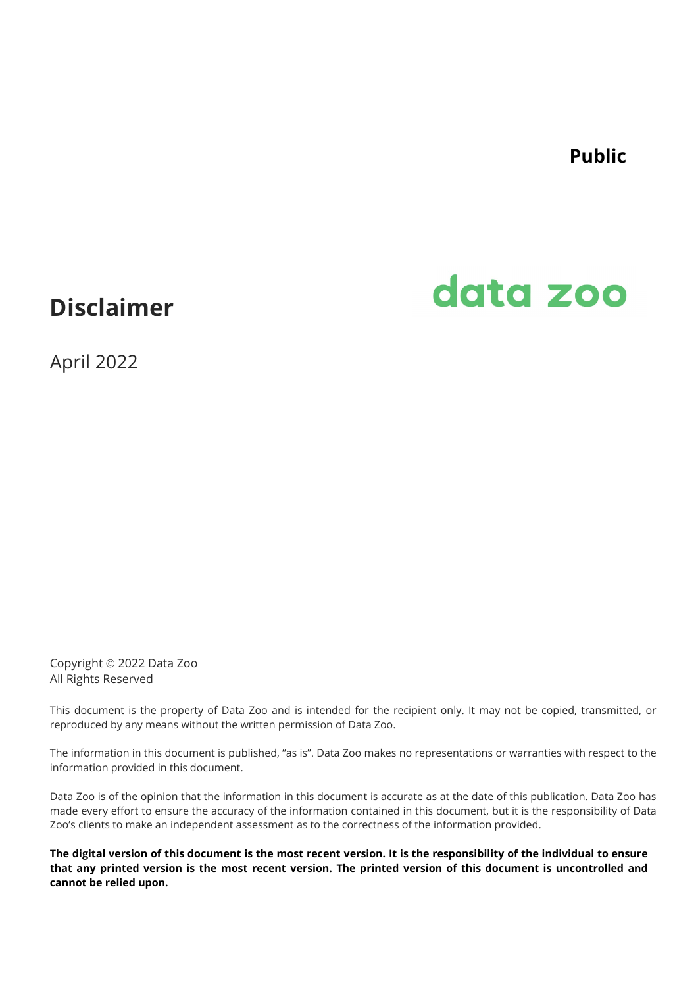**Public**

## **Disclaimer**

# data zoo

April 2022

Copyright 2022 Data Zoo All Rights Reserved

This document is the property of Data Zoo and is intended for the recipient only. It may not be copied, transmitted, or reproduced by any means without the written permission of Data Zoo.

The information in this document is published, "as is". Data Zoo makes no representations or warranties with respect to the information provided in this document.

Data Zoo is of the opinion that the information in this document is accurate as at the date of this publication. Data Zoo has made every effort to ensure the accuracy of the information contained in this document, but it is the responsibility of Data Zoo's clients to make an independent assessment as to the correctness of the information provided.

**The digital version of this document is the most recent version. It is the responsibility of the individual to ensure that any printed version is the most recent version. The printed version of this document is uncontrolled and cannot be relied upon.**